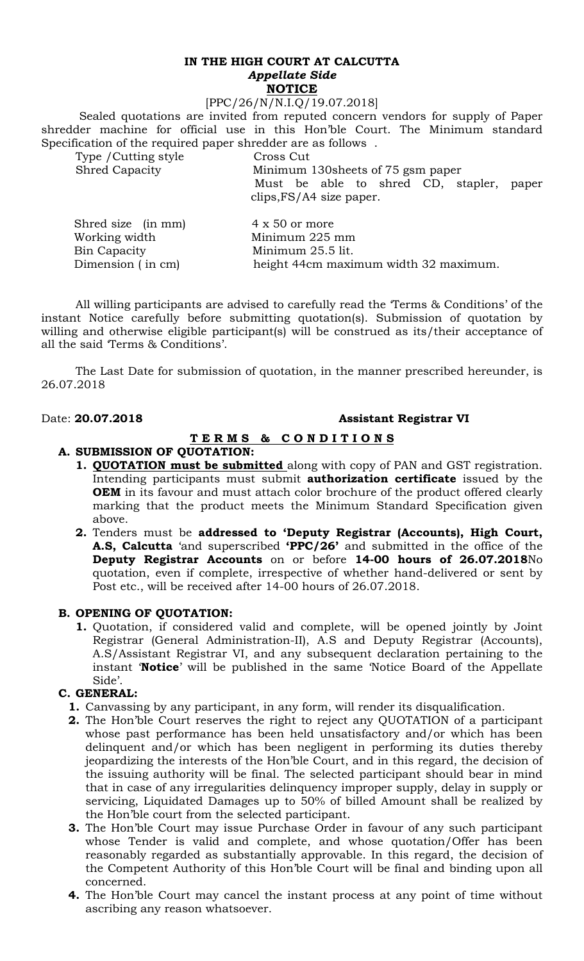# **IN THE HIGH COURT AT CALCUTTA**  *Appellate Side* **NOTICE**

#### [PPC/26/N/N.I.Q/19.07.2018]

 Sealed quotations are invited from reputed concern vendors for supply of Paper shredder machine for official use in this Hon'ble Court. The Minimum standard Specification of the required paper shredder are as follows .

Type / Cutting style Cross Cut

Shred Capacity Minimum 130sheets of 75 gsm paper Must be able to shred CD, stapler, paper clips,FS/A4 size paper.

| Shred size (in mm)<br>Working width | $4 \times 50$ or more<br>Minimum 225 mm |
|-------------------------------------|-----------------------------------------|
| Bin Capacity                        | Minimum 25.5 lit.                       |
| Dimension (in cm)                   | height 44cm maximum width 32 maximum.   |

All willing participants are advised to carefully read the 'Terms & Conditions' of the instant Notice carefully before submitting quotation(s). Submission of quotation by willing and otherwise eligible participant(s) will be construed as its/their acceptance of all the said 'Terms & Conditions'.

The Last Date for submission of quotation, in the manner prescribed hereunder, is 26.07.2018

# Date: **20.07.2018 Assistant Registrar VI**

# **T E R M S & C O N D I T I O N S**

# **A. SUBMISSION OF QUOTATION:**

- **1. QUOTATION must be submitted** along with copy of PAN and GST registration. Intending participants must submit **authorization certificate** issued by the **OEM** in its favour and must attach color brochure of the product offered clearly marking that the product meets the Minimum Standard Specification given above.
- **2.** Tenders must be **addressed to 'Deputy Registrar (Accounts), High Court, A.S, Calcutta** 'and superscribed **'PPC/26'** and submitted in the office of the **Deputy Registrar Accounts** on or before **14-00 hours of 26.07.2018**No quotation, even if complete, irrespective of whether hand-delivered or sent by Post etc., will be received after 14-00 hours of 26.07.2018.

# **B. OPENING OF QUOTATION:**

**1.** Quotation, if considered valid and complete, will be opened jointly by Joint Registrar (General Administration-II), A.S and Deputy Registrar (Accounts), A.S/Assistant Registrar VI, and any subsequent declaration pertaining to the instant '**Notice**' will be published in the same 'Notice Board of the Appellate Side'.

# **C. GENERAL:**

- **1.** Canvassing by any participant, in any form, will render its disqualification.
- **2.** The Hon'ble Court reserves the right to reject any QUOTATION of a participant whose past performance has been held unsatisfactory and/or which has been delinquent and/or which has been negligent in performing its duties thereby jeopardizing the interests of the Hon'ble Court, and in this regard, the decision of the issuing authority will be final. The selected participant should bear in mind that in case of any irregularities delinquency improper supply, delay in supply or servicing, Liquidated Damages up to 50% of billed Amount shall be realized by the Hon'ble court from the selected participant.
- **3.** The Hon'ble Court may issue Purchase Order in favour of any such participant whose Tender is valid and complete, and whose quotation/Offer has been reasonably regarded as substantially approvable. In this regard, the decision of the Competent Authority of this Hon'ble Court will be final and binding upon all concerned.
- **4.** The Hon'ble Court may cancel the instant process at any point of time without ascribing any reason whatsoever.